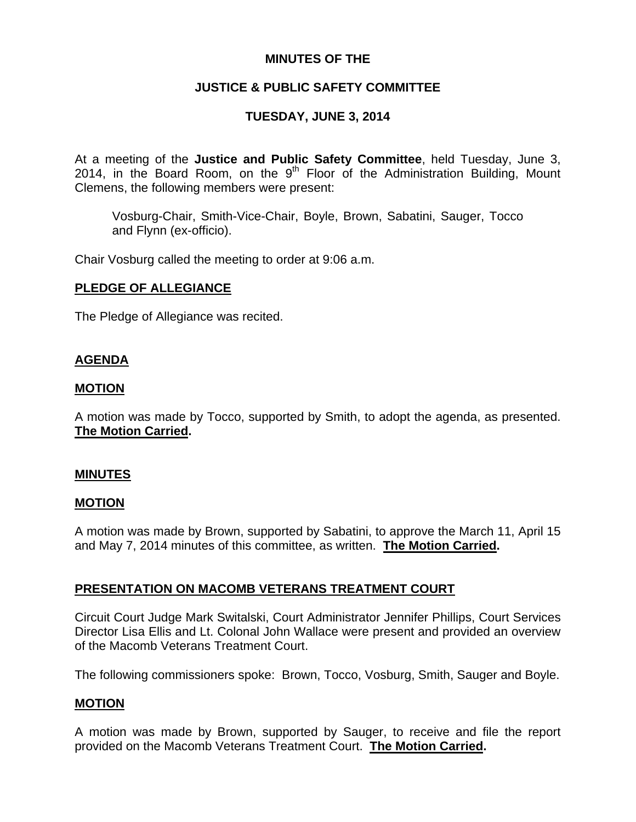# **MINUTES OF THE**

# **JUSTICE & PUBLIC SAFETY COMMITTEE**

# **TUESDAY, JUNE 3, 2014**

At a meeting of the **Justice and Public Safety Committee**, held Tuesday, June 3, 2014, in the Board Room, on the  $9<sup>th</sup>$  Floor of the Administration Building, Mount Clemens, the following members were present:

Vosburg-Chair, Smith-Vice-Chair, Boyle, Brown, Sabatini, Sauger, Tocco and Flynn (ex-officio).

Chair Vosburg called the meeting to order at 9:06 a.m.

## **PLEDGE OF ALLEGIANCE**

The Pledge of Allegiance was recited.

## **AGENDA**

### **MOTION**

A motion was made by Tocco, supported by Smith, to adopt the agenda, as presented. **The Motion Carried.** 

### **MINUTES**

# **MOTION**

A motion was made by Brown, supported by Sabatini, to approve the March 11, April 15 and May 7, 2014 minutes of this committee, as written. **The Motion Carried.** 

# **PRESENTATION ON MACOMB VETERANS TREATMENT COURT**

Circuit Court Judge Mark Switalski, Court Administrator Jennifer Phillips, Court Services Director Lisa Ellis and Lt. Colonal John Wallace were present and provided an overview of the Macomb Veterans Treatment Court.

The following commissioners spoke: Brown, Tocco, Vosburg, Smith, Sauger and Boyle.

### **MOTION**

A motion was made by Brown, supported by Sauger, to receive and file the report provided on the Macomb Veterans Treatment Court. **The Motion Carried.**